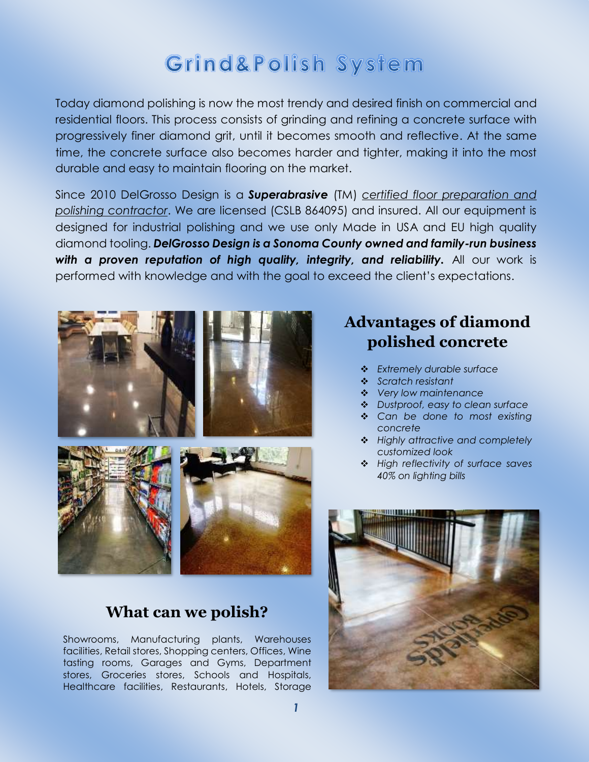## Grind&Polish System

Today diamond polishing is now the most trendy and desired finish on commercial and residential floors. This process consists of grinding and refining a concrete surface with progressively finer diamond grit, until it becomes smooth and reflective. At the same time, the concrete surface also becomes harder and tighter, making it into the most durable and easy to maintain flooring on the market.

Since 2010 DelGrosso Design is a *Superabrasive* (TM) *certified floor preparation and polishing contractor*. We are licensed (CSLB 864095) and insured. All our equipment is designed for industrial polishing and we use only Made in USA and EU high quality diamond tooling. *DelGrosso Design is a Sonoma County owned and family-run business with a proven reputation of high quality, integrity, and reliability.* All our work is performed with knowledge and with the goal to exceed the client's expectations.



## **What can we polish?**

Showrooms, Manufacturing plants, Warehouses facilities, Retail stores, Shopping centers, Offices, Wine tasting rooms, Garages and Gyms, Department stores, Groceries stores, Schools and Hospitals, Healthcare facilities, Restaurants, Hotels, Storage

## **Advantages of diamond polished concrete**

- ❖ *Extremely durable surface*
- ❖ *Scratch resistant*
- ❖ *Very low maintenance*
- ❖ *Dustproof, easy to clean surface*
- ❖ *Can be done to most existing concrete*
- ❖ *Highly attractive and completely customized look*
- ❖ *High reflectivity of surface saves 40% on lighting bills*